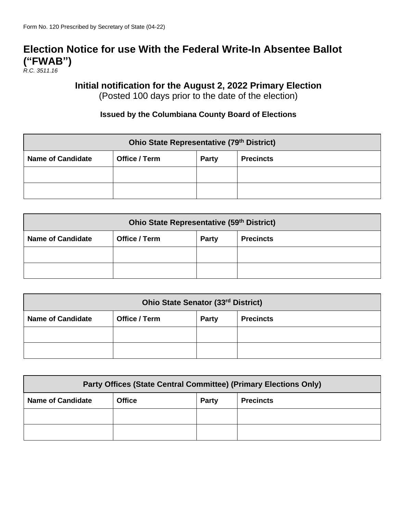## **Election Notice for use With the Federal Write-In Absentee Ballot ("FWAB")**

*R.C. 3511.16*

## **Initial notification for the August 2, 2022 Primary Election**

(Posted 100 days prior to the date of the election)

## **Issued by the Columbiana County Board of Elections**

| Ohio State Representative (79th District) |               |              |                  |  |  |  |
|-------------------------------------------|---------------|--------------|------------------|--|--|--|
| <b>Name of Candidate</b>                  | Office / Term | <b>Party</b> | <b>Precincts</b> |  |  |  |
|                                           |               |              |                  |  |  |  |
|                                           |               |              |                  |  |  |  |

| Ohio State Representative (59th District) |               |       |                  |  |  |
|-------------------------------------------|---------------|-------|------------------|--|--|
| <b>Name of Candidate</b>                  | Office / Term | Party | <b>Precincts</b> |  |  |
|                                           |               |       |                  |  |  |
|                                           |               |       |                  |  |  |

| Ohio State Senator (33rd District) |                      |              |                  |  |  |  |
|------------------------------------|----------------------|--------------|------------------|--|--|--|
| <b>Name of Candidate</b>           | <b>Office / Term</b> | <b>Party</b> | <b>Precincts</b> |  |  |  |
|                                    |                      |              |                  |  |  |  |
|                                    |                      |              |                  |  |  |  |

| Party Offices (State Central Committee) (Primary Elections Only) |               |              |                  |  |  |
|------------------------------------------------------------------|---------------|--------------|------------------|--|--|
| <b>Name of Candidate</b>                                         | <b>Office</b> | <b>Party</b> | <b>Precincts</b> |  |  |
|                                                                  |               |              |                  |  |  |
|                                                                  |               |              |                  |  |  |